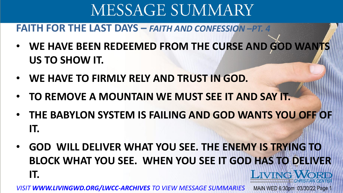#### **FAITH FOR THE LAST DAYS –** *FAITH AND CONFESSION –PT. 4*

- **WE HAVE BEEN REDEEMED FROM THE CURSE AND GOD WANTS US TO SHOW IT.**
- **WE HAVE TO FIRMLY RELY AND TRUST IN GOD.**
- **TO REMOVE A MOUNTAIN WE MUST SEE IT AND SAY IT.**
- **THE BABYLON SYSTEM IS FAILING AND GOD WANTS YOU OFF OF IT.**
- **GOD WILL DELIVER WHAT YOU SEE. THE ENEMY IS TRYING TO BLOCK WHAT YOU SEE. WHEN YOU SEE IT GOD HAS TO DELIVER LIVING WORD IT.**

*VISIT WWW.LIVINGWD.ORG/LWCC-ARCHIVES TO VIEW MESSAGE SUMMARIES* MAIN WED 6:30pm 03/30/22 Page 1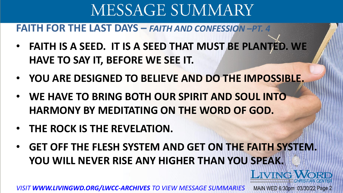**FAITH FOR THE LAST DAYS –** *FAITH AND CONFESSION –PT. 4*

- **FAITH IS A SEED. IT IS A SEED THAT MUST BE PLANTED. WE HAVE TO SAY IT, BEFORE WE SEE IT.**
- **YOU ARE DESIGNED TO BELIEVE AND DO THE IMPOSSIBLE.**
- **WE HAVE TO BRING BOTH OUR SPIRIT AND SOUL INTO HARMONY BY MEDITATING ON THE WORD OF GOD.**
- **THE ROCK IS THE REVELATION.**
- **GET OFF THE FLESH SYSTEM AND GET ON THE FAITH SYSTEM. YOU WILL NEVER RISE ANY HIGHER THAN YOU SPEAK.**

LIVING

*VISIT WWW.LIVINGWD.ORG/LWCC-ARCHIVES TO VIEW MESSAGE SUMMARIES* MAIN WED 6:30pm 03/30/22 Page 2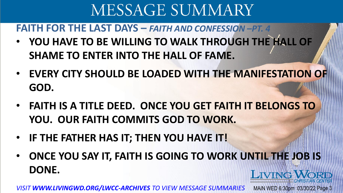**FAITH FOR THE LAST DAYS –** *FAITH AND CONFESSION –PT. 4*

- **YOU HAVE TO BE WILLING TO WALK THROUGH THE HALL OF SHAME TO ENTER INTO THE HALL OF FAME.**
- **EVERY CITY SHOULD BE LOADED WITH THE MANIFESTATION OF GOD.**
- **FAITH IS A TITLE DEED. ONCE YOU GET FAITH IT BELONGS TO YOU. OUR FAITH COMMITS GOD TO WORK.**
- **IF THE FATHER HAS IT; THEN YOU HAVE IT!**
- **ONCE YOU SAY IT, FAITH IS GOING TO WORK UNTIL THE JOB IS DONE. LIVING WORD**

*VISIT WWW.LIVINGWD.ORG/LWCC-ARCHIVES TO VIEW MESSAGE SUMMARIES* MAIN WED 6:30pm 03/30/22 Page 3